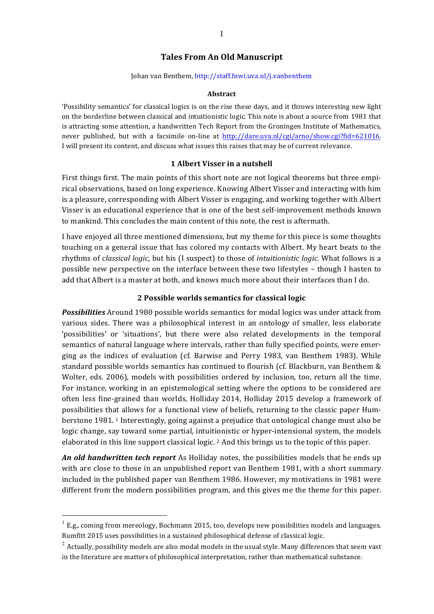# **Tales From An Old Manuscript**

#### Johan van Benthem, http://staff.fnwi.uva.nl/j.vanbenthem

#### **Abstract**

'Possibility semantics' for classical logics is on the rise these days, and it throws interesting new light on the borderline between classical and intuitionistic logic. This note is about a source from 1981 that is attracting some attention, a handwritten Tech Report from the Groningen Institute of Mathematics, never published, but with a facsimile on-line at  $http://dare.uva.nl/cgi/arno/show.cgi?fid=621016$ . I will present its content, and discuss what issues this raises that may be of current relevance.

#### **1 Albert Visser in a nutshell**

First things first. The main points of this short note are not logical theorems but three empirical observations, based on long experience. Knowing Albert Visser and interacting with him is a pleasure, corresponding with Albert Visser is engaging, and working together with Albert Visser is an educational experience that is one of the best self-improvement methods known to mankind. This concludes the main content of this note, the rest is aftermath.

I have enjoyed all three mentioned dimensions, but my theme for this piece is some thoughts touching on a general issue that has colored my contacts with Albert. My heart beats to the rhythms of *classical logic*, but his (I suspect) to those of *intuitionistic logic*. What follows is a possible new perspective on the interface between these two lifestyles – though I hasten to add that Albert is a master at both, and knows much more about their interfaces than I do.

### **2 Possible worlds semantics for classical logic**

**Possibilities** Around 1980 possible worlds semantics for modal logics was under attack from various sides. There was a philosophical interest in an ontology of smaller, less elaborate 'possibilities' or 'situations', but there were also related developments in the temporal semantics of natural language where intervals, rather than fully specified points, were emerging as the indices of evaluation (cf. Barwise and Perry 1983, van Benthem 1983). While standard possible worlds semantics has continued to flourish (cf. Blackburn, van Benthem & Wolter, eds. 2006), models with possibilities ordered by inclusion, too, return all the time. For instance, working in an epistemological setting where the options to be considered are often less fine-grained than worlds, Holliday 2014, Holliday 2015 develop a framework of possibilities that allows for a functional view of beliefs, returning to the classic paper Humberstone 1981.<sup>1</sup> Interestingly, going against a prejudice that ontological change must also be logic change, say toward some partial, intuitionistic or hyper-intensional system, the models elaborated in this line support classical logic. <sup>2</sup> And this brings us to the topic of this paper.

An old handwritten tech report As Holliday notes, the possibilities models that he ends up with are close to those in an unpublished report van Benthem 1981, with a short summary included in the published paper van Benthem 1986. However, my motivations in 1981 were different from the modern possibilities program, and this gives me the theme for this paper.

 $1$  E.g., coming from mereology, Bochmann 2015, too, develops new possibilities models and languages. Rumfitt 2015 uses possibilities in a sustained philosophical defense of classical logic.

 $2$  Actually, possibility models are also modal models in the usual style. Many differences that seem vast in the literature are matters of philosophical interpretation, rather than mathematical substance.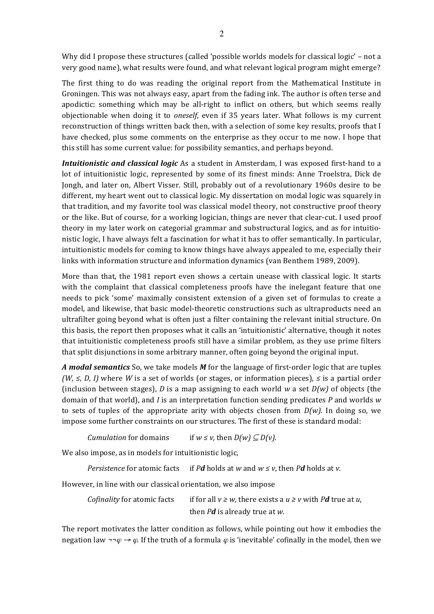Why did I propose these structures (called 'possible worlds models for classical logic' - not a very good name), what results were found, and what relevant logical program might emerge?

The first thing to do was reading the original report from the Mathematical Institute in Groningen. This was not always easy, apart from the fading ink. The author is often terse and apodictic: something which may be all-right to inflict on others, but which seems really objectionable when doing it to *oneself*, even if 35 years later. What follows is my current reconstruction of things written back then, with a selection of some key results, proofs that I have checked, plus some comments on the enterprise as they occur to me now. I hope that this still has some current value: for possibility semantics, and perhaps beyond.

*Intuitionistic and classical logic* As a student in Amsterdam, I was exposed first-hand to a lot of intuitionistic logic, represented by some of its finest minds: Anne Troelstra, Dick de Jongh, and later on, Albert Visser. Still, probably out of a revolutionary 1960s desire to be different, my heart went out to classical logic. My dissertation on modal logic was squarely in that tradition, and my favorite tool was classical model theory, not constructive proof theory or the like. But of course, for a working logician, things are never that clear-cut. I used proof theory in my later work on categorial grammar and substructural logics, and as for intuitionistic logic, I have always felt a fascination for what it has to offer semantically. In particular, intuitionistic models for coming to know things have always appealed to me, especially their links with information structure and information dynamics (van Benthem 1989, 2009).

More than that, the 1981 report even shows a certain unease with classical logic. It starts with the complaint that classical completeness proofs have the inelegant feature that one needs to pick 'some' maximally consistent extension of a given set of formulas to create a model, and likewise, that basic model-theoretic constructions such as ultraproducts need an ultrafilter going beyond what is often just a filter containing the relevant initial structure. On this basis, the report then proposes what it calls an 'intuitionistic' alternative, though it notes that intuitionistic completeness proofs still have a similar problem, as they use prime filters that split disjunctions in some arbitrary manner, often going beyond the original input.

*A* modal semantics So, we take models *M* for the language of first-order logic that are tuples *(W, ≤, D, I)* where *W* is a set of worlds (or stages, or information pieces), ≤ is a partial order (inclusion between stages), *D* is a map assigning to each world *w* a set  $D(w)$  of objects (the domain of that world), and *I* is an interpretation function sending predicates *P* and worlds *w* to sets of tuples of the appropriate arity with objects chosen from  $D(w)$ . In doing so, we impose some further constraints on our structures. The first of these is standard modal:

*Cumulation* for domains if  $w \le v$ , then  $D(w) \subseteq D(v)$ .

We also impose, as in models for intuitionistic logic,

*Persistence* for atomic facts if *Pd* holds at *w* and  $w \le v$ , then *Pd* holds at *v*.

However, in line with our classical orientation, we also impose

*Cofinality* for atomic facts if for all  $v \geq w$ , there exists a  $u \geq v$  with P*d* true at *u*, then *Pd* is already true at *w*.

The report motivates the latter condition as follows, while pointing out how it embodies the negation law  $\neg \varphi \rightarrow \varphi$ . If the truth of a formula  $\varphi$  is 'inevitable' cofinally in the model, then we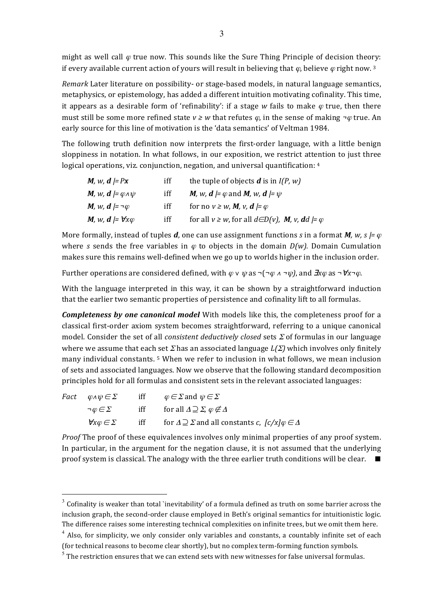might as well call  $\varphi$  true now. This sounds like the Sure Thing Principle of decision theory: if every available current action of yours will result in believing that  $\varphi$ , believe  $\varphi$  right now. 3

*Remark* Later literature on possibility- or stage-based models, in natural language semantics, metaphysics, or epistemology, has added a different intuition motivating cofinality. This time, it appears as a desirable form of 'refinability': if a stage w fails to make  $\varphi$  true, then there must still be some more refined state  $v \geq w$  that refutes  $\varphi$ , in the sense of making  $\neg \varphi$  true. An early source for this line of motivation is the 'data semantics' of Veltman 1984.

The following truth definition now interprets the first-order language, with a little benign sloppiness in notation. In what follows, in our exposition, we restrict attention to just three logical operations, viz. conjunction, negation, and universal quantification:  $4$ 

| M, w, $d \models Px$                                   | iff | the tuple of objects $\boldsymbol{d}$ is in $I(P, w)$                            |
|--------------------------------------------------------|-----|----------------------------------------------------------------------------------|
| <b>M</b> , w, <b>d</b> $= \varphi \wedge \psi$         | iff | <i>M, w, d = <math>\varphi</math></i> and <i>M, w, d = <math>\psi</math></i>     |
| M, w, $d \models \neg \varphi$                         | iff | for no $v \geq w$ , M, v, $d \models \varphi$                                    |
| <i>M</i> , <i>w</i> , <i>d</i> $=$ $\forall x \varphi$ | iff | for all $v \geq w$ , for all $d \in D(v)$ , <b>M</b> , v, <b>d</b> d $= \varphi$ |

More formally, instead of tuples *d*, one can use assignment functions *s* in a format *M, w*, *s*  $= \varphi$ where *s* sends the free variables in  $\varphi$  to objects in the domain *D(w)*. Domain Cumulation makes sure this remains well-defined when we go up to worlds higher in the inclusion order.

Further operations are considered defined, with  $\varphi \vee \psi$  as  $\neg(\neg \varphi \wedge \neg \psi)$ , and  $\exists x \varphi$  as  $\neg \forall x \neg \varphi$ .

With the language interpreted in this way, it can be shown by a straightforward induction that the earlier two semantic properties of persistence and cofinality lift to all formulas.

**Completeness by one canonical model** With models like this, the completeness proof for a classical first-order axiom system becomes straightforward, referring to a unique canonical model. Consider the set of all *consistent deductively closed* sets  $\Sigma$  of formulas in our language where we assume that each set  $\Sigma$  has an associated language  $L(\Sigma)$  which involves only finitely many individual constants.  $5$  When we refer to inclusion in what follows, we mean inclusion of sets and associated languages. Now we observe that the following standard decomposition principles hold for all formulas and consistent sets in the relevant associated languages:

|  | <i>Fact</i> $\varphi \land \psi \in \Sigma$ | iff $\varphi \in \Sigma$ and $\psi \in \Sigma$                                                                   |
|--|---------------------------------------------|------------------------------------------------------------------------------------------------------------------|
|  | $\neg\varphi\!\in\!\Sigma$                  | iff for all $\Delta \supseteq \Sigma$ , $\varphi \notin \Delta$                                                  |
|  |                                             | $\forall x \varphi \in \Sigma$ iff for $\Delta \supseteq \Sigma$ and all constants c, $[c/x] \varphi \in \Delta$ |

*Proof* The proof of these equivalences involves only minimal properties of any proof system. In particular, in the argument for the negation clause, it is not assumed that the underlying proof system is classical. The analogy with the three earlier truth conditions will be clear.  $\blacksquare$ 

 $3$  Cofinality is weaker than total `inevitability' of a formula defined as truth on some barrier across the inclusion graph, the second-order clause employed in Beth's original semantics for intuitionistic logic. The difference raises some interesting technical complexities on infinite trees, but we omit them here.

 $<sup>4</sup>$  Also, for simplicity, we only consider only variables and constants, a countably infinite set of each</sup> (for technical reasons to become clear shortly), but no complex term-forming function symbols.

 $<sup>5</sup>$  The restriction ensures that we can extend sets with new witnesses for false universal formulas.</sup>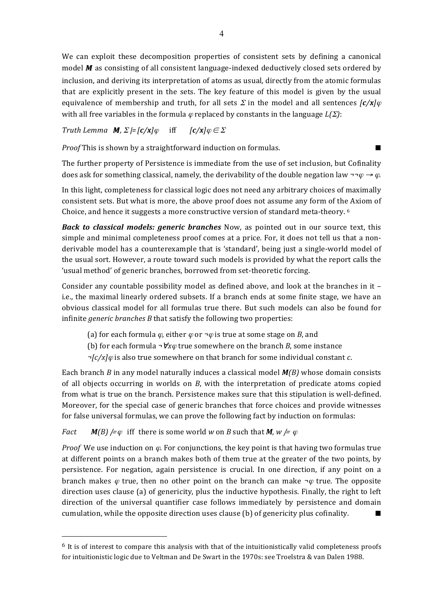We can exploit these decomposition properties of consistent sets by defining a canonical model M as consisting of all consistent language-indexed deductively closed sets ordered by inclusion, and deriving its interpretation of atoms as usual, directly from the atomic formulas that are explicitly present in the sets. The key feature of this model is given by the usual equivalence of membership and truth, for all sets  $\Sigma$  in the model and all sentences  $\frac{c}{x}$ with all free variables in the formula  $\varphi$  replaced by constants in the language  $L(\Sigma)$ :

*Truth* Lemma  $M$ ,  $\Sigma$  *|=*  $[c/x]\varphi$  iff  $[c/x]\varphi \in \Sigma$ 

*Proof* This is shown by a straightforward induction on formulas.

The further property of Persistence is immediate from the use of set inclusion, but Cofinality does ask for something classical, namely, the derivability of the double negation law  $\neg \neg \varphi \rightarrow \varphi$ .

In this light, completeness for classical logic does not need any arbitrary choices of maximally consistent sets. But what is more, the above proof does not assume any form of the Axiom of Choice, and hence it suggests a more constructive version of standard meta-theory. <sup>6</sup>

*Back to classical models: generic branches* Now, as pointed out in our source text, this simple and minimal completeness proof comes at a price. For, it does not tell us that a nonderivable model has a counterexample that is 'standard', being just a single-world model of the usual sort. However, a route toward such models is provided by what the report calls the 'usual method' of generic branches, borrowed from set-theoretic forcing.

Consider any countable possibility model as defined above, and look at the branches in it  $$ i.e., the maximal linearly ordered subsets. If a branch ends at some finite stage, we have an obvious classical model for all formulas true there. But such models can also be found for infinite *generic* branches *B* that satisfy the following two properties:

- (a) for each formula  $\varphi$ , either  $\varphi$  or  $\neg \varphi$  is true at some stage on *B*, and
- (b) for each formula  $\neg$   $\forall x \varphi$  true somewhere on the branch *B*, some instance
- *¬[c/x]*<sup>ϕ</sup> is also true somewhere on that branch for some individual constant *c*.

Each branch *B* in any model naturally induces a classical model  $M(B)$  whose domain consists of all objects occurring in worlds on *B*, with the interpretation of predicate atoms copied from what is true on the branch. Persistence makes sure that this stipulation is well-defined. Moreover, for the special case of generic branches that force choices and provide witnesses for false universal formulas, we can prove the following fact by induction on formulas:

*Fact*  $M(B)$  /= $\varphi$  iff there is some world w on *B* such that *M,* w /=  $\varphi$ 

 $\overline{a}$ 

*Proof* We use induction on  $\varphi$ . For conjunctions, the key point is that having two formulas true at different points on a branch makes both of them true at the greater of the two points, by persistence. For negation, again persistence is crucial. In one direction, if any point on a branch makes  $\varphi$  true, then no other point on the branch can make  $\neg \varphi$  true. The opposite direction uses clause  $\alpha$  of genericity, plus the inductive hypothesis. Finally, the right to left direction of the universal quantifier case follows immediately by persistence and domain cumulation, while the opposite direction uses clause (b) of genericity plus cofinality.  $\blacksquare$ 

 $6$  It is of interest to compare this analysis with that of the intuitionistically valid completeness proofs for intuitionistic logic due to Veltman and De Swart in the 1970s: see Troelstra & van Dalen 1988.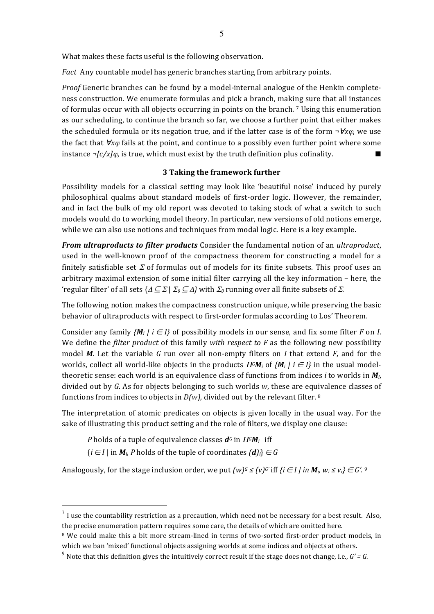What makes these facts useful is the following observation.

Fact Any countable model has generic branches starting from arbitrary points.

*Proof* Generic branches can be found by a model-internal analogue of the Henkin completeness construction. We enumerate formulas and pick a branch, making sure that all instances of formulas occur with all objects occurring in points on the branch. 7 Using this enumeration as our scheduling, to continue the branch so far, we choose a further point that either makes the scheduled formula or its negation true, and if the latter case is of the form  $\neg$   $\forall x\varphi$ , we use the fact that  $\forall x \varphi$  fails at the point, and continue to a possibly even further point where some instance  $\neg$ [c/x] $\varphi$ , is true, which must exist by the truth definition plus cofinality.

## **3 Taking the framework further**

Possibility models for a classical setting may look like 'beautiful noise' induced by purely philosophical qualms about standard models of first-order logic. However, the remainder, and in fact the bulk of my old report was devoted to taking stock of what a switch to such models would do to working model theory. In particular, new versions of old notions emerge, while we can also use notions and techniques from modal logic. Here is a key example.

*From ultraproducts to filter products* Consider the fundamental notion of an *ultraproduct*, used in the well-known proof of the compactness theorem for constructing a model for a finitely satisfiable set  $\Sigma$  of formulas out of models for its finite subsets. This proof uses an arbitrary maximal extension of some initial filter carrying all the key information – here, the 'regular filter' of all sets  $\{\Delta \subseteq \Sigma \mid \Sigma_0 \subseteq \Delta\}$  with  $\Sigma_0$  running over all finite subsets of  $\Sigma$ .

The following notion makes the compactness construction unique, while preserving the basic behavior of ultraproducts with respect to first-order formulas according to Los' Theorem.

Consider any family  ${M_i \mid i \in I}$  of possibility models in our sense, and fix some filter *F* on *I*. We define the *filter product* of this family *with respect to F* as the following new possibility model *M*. Let the variable *G* run over all non-empty filters on *I* that extend *F*, and for the worlds, collect all world-like objects in the products  $\Pi^G M_i$  of  $\{M_i | i \in I\}$  in the usual modeltheoretic sense: each world is an equivalence class of functions from indices *i* to worlds in  $M_i$ , divided out by G. As for objects belonging to such worlds w, these are equivalence classes of functions from indices to objects in  $D(w)$ , divided out by the relevant filter. <sup>8</sup>

The interpretation of atomic predicates on objects is given locally in the usual way. For the sake of illustrating this product setting and the role of filters, we display one clause:

*P* holds of a tuple of equivalence classes  $d^G$  in  $\Pi^G M_i$  iff

 $\{i \in I \mid \text{in} \mathbf{M}_i, P \text{ holds of the tuple of coordinates } \{d\}\} \in G$ 

Analogously, for the stage inclusion order, we put  $(w)^{G} \le (v)^{G'}$  iff  $\{i \in I \mid in \mathbf{M}_i, w_i \le v_i\} \in G'.$ <sup>9</sup>

 $^7$  I use the countability restriction as a precaution, which need not be necessary for a best result. Also, the precise enumeration pattern requires some care, the details of which are omitted here.

 $8$  We could make this a bit more stream-lined in terms of two-sorted first-order product models, in which we ban 'mixed' functional objects assigning worlds at some indices and objects at others.

<sup>&</sup>lt;sup>9</sup> Note that this definition gives the intuitively correct result if the stage does not change, i.e.,  $G' = G$ .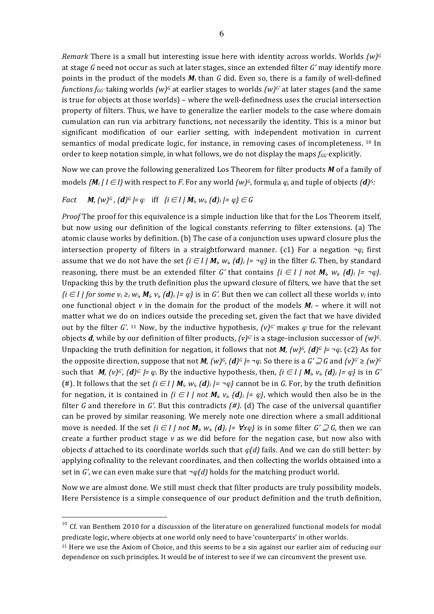*Remark* There is a small but interesting issue here with identity across worlds. Worlds  $(w)$ <sup>G</sup> at stage G need not occur as such at later stages, since an extended filter G' may identify more points in the product of the models  $M_i$  than G did. Even so, there is a family of well-defined *functions*  $f_{GG'}$  taking worlds  $(w)^{G}$  at earlier stages to worlds  $(w)^{G'}$  at later stages (and the same is true for objects at those worlds) – where the well-definedness uses the crucial intersection property of filters. Thus, we have to generalize the earlier models to the case where domain cumulation can run via arbitrary functions, not necessarily the identity. This is a minor but significant modification of our earlier setting, with independent motivation in current semantics of modal predicate logic, for instance, in removing cases of incompleteness. <sup>10</sup> In order to keep notation simple, in what follows, we do not display the maps  $f_{GG'}$  explicitly.

Now we can prove the following generalized Los Theorem for filter products M of a family of models  $\{M_i | i \in I\}$  with respect to *F*. For any world  $(w)^c$ , formula  $\varphi$ , and tuple of objects  $(d)^c$ :

## *Fact*  $M$ *,*  $(w)^{G}$ *,*  $(d)^{G}$   $\models$   $\varphi$  iff  $\{i \in I \mid M_{i} \mid w_{i} \mid d\}$   $_i \models \varphi$   $\} \in G$

*Proof* The proof for this equivalence is a simple induction like that for the Los Theorem itself, but now using our definition of the logical constants referring to filter extensions. (a) The atomic clause works by definition. (b) The case of a conjunction uses upward closure plus the intersection property of filters in a straightforward manner. (c1) For a negation  $\neg \varphi$ , first assume that we do not have the set *{i*  $\in$  *I* |  $M_i$ ,  $W_i$  (*d*)<sub>*i*</sub> |=  $\neg \varphi$ } in the filter *G*. Then, by standard reasoning, there must be an extended filter *G'* that contains  $\{i \in I \mid not M_i, w_i \ (d)_i \} = \neg \varphi\}$ . Unpacking this by the truth definition plus the upward closure of filters, we have that the set  $\{i \in I \mid \text{for some } v_i \geq i, w_i, M_i, v_i \}$  *(d)*<sub>i</sub>  $\}= \varphi\}$  is in *G'*. But then we can collect all these worlds  $v_i$  into one functional object *v* in the domain for the product of the models  $M_i$  – where it will not matter what we do on indices outside the preceding set, given the fact that we have divided out by the filter *G'*. <sup>11</sup> Now, by the inductive hypothesis,  $(v)$ <sup>*c'*</sup> makes  $\varphi$  true for the relevant objects  $d$ , while by our definition of filter products,  $(v)^{G}$  is a stage-inclusion successor of  $(w)^{G}$ . Unpacking the truth definition for negation, it follows that not *M,*  $(w)^{c}$ ,  $(d)^{c}$   $\models \neg \varphi$ . (c2) As for the opposite direction, suppose that not *M*,  $(w)^{c}$ ,  $(d)^{c} = \neg \varphi$ . So there is a  $G' \supseteq G$  and  $(v)^{c'} \geq (w)^{c}$ such that  $\vec{M}$ ,  $(\vec{v})^G$ ,  $(\vec{d})^G$  /=  $\varphi$ . By the inductive hypothesis, then,  $\{\vec{i} \in I \mid \vec{M}_i, v_i, (\vec{d})_i \mid = \varphi\}$  is in  $G'$ (#). It follows that the set  $\{i \in I \mid M_i, w_i \ (d)_i \mid = \neg \varphi\}$  cannot be in G. For, by the truth definition for negation, it is contained in  $\{i \in I \mid not M_i, v_i \}(d)_i = \varphi\}$ , which would then also be in the filter *G* and therefore in *G'*. But this contradicts  $(H)$ . (d) The case of the universal quantifier can be proved by similar reasoning. We merely note one direction where a small additional move is needed. If the set  $\{i \in I \mid not M_i, w_i \}(d)_i = \forall x \varphi\}$  is in some filter  $G' \supseteq G$ , then we can create a further product stage *v* as we did before for the negation case, but now also with objects *d* attached to its coordinate worlds such that  $\varphi(d)$  fails. And we can do still better: by applying cofinality to the relevant coordinates, and then collecting the worlds obtained into a set in *G'*, we can even make sure that  $\neg \varphi(d)$  holds for the matching product world.

Now we are almost done. We still must check that filter products are truly possibility models. Here Persistence is a simple consequence of our product definition and the truth definition,

 $10$  Cf. van Benthem 2010 for a discussion of the literature on generalized functional models for modal predicate logic, where objects at one world only need to have 'counterparts' in other worlds.

 $11$  Here we use the Axiom of Choice, and this seems to be a sin against our earlier aim of reducing our dependence on such principles. It would be of interest to see if we can circumvent the present use.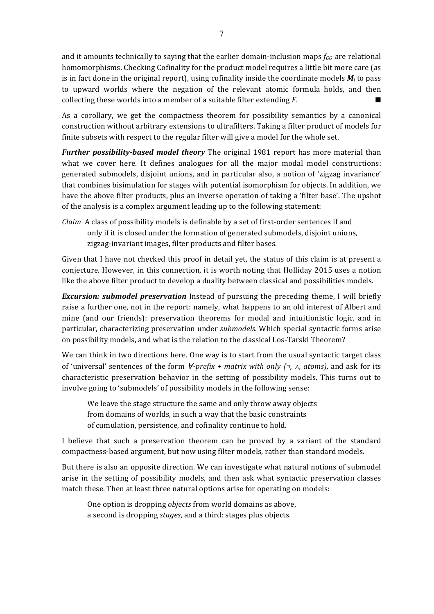and it amounts technically to saying that the earlier domain-inclusion maps  $f_{GG'}$  are relational homomorphisms. Checking Cofinality for the product model requires a little bit more care (as is in fact done in the original report), using cofinality inside the coordinate models  $M_i$  to pass to upward worlds where the negation of the relevant atomic formula holds, and then collecting these worlds into a member of a suitable filter extending  $F$ .

As a corollary, we get the compactness theorem for possibility semantics by a canonical construction without arbitrary extensions to ultrafilters. Taking a filter product of models for finite subsets with respect to the regular filter will give a model for the whole set.

**Further possibility-based model theory** The original 1981 report has more material than what we cover here. It defines analogues for all the major modal model constructions: generated submodels, disjoint unions, and in particular also, a notion of 'zigzag invariance' that combines bisimulation for stages with potential isomorphism for objects. In addition, we have the above filter products, plus an inverse operation of taking a 'filter base'. The upshot of the analysis is a complex argument leading up to the following statement:

*Claim* A class of possibility models is definable by a set of first-order sentences if and only if it is closed under the formation of generated submodels, disjoint unions, zigzag-invariant images, filter products and filter bases.

Given that I have not checked this proof in detail yet, the status of this claim is at present a conjecture. However, in this connection, it is worth noting that Holliday 2015 uses a notion like the above filter product to develop a duality between classical and possibilities models.

**Excursion: submodel preservation** Instead of pursuing the preceding theme, I will briefly raise a further one, not in the report: namely, what happens to an old interest of Albert and mine (and our friends): preservation theorems for modal and intuitionistic logic, and in particular, characterizing preservation under *submodels*. Which special syntactic forms arise on possibility models, and what is the relation to the classical Los-Tarski Theorem?

We can think in two directions here. One way is to start from the usual syntactic target class of 'universal' sentences of the form  $\forall$ -prefix + matrix with only {¬,  $\land$ , atoms), and ask for its characteristic preservation behavior in the setting of possibility models. This turns out to involve going to 'submodels' of possibility models in the following sense:

We leave the stage structure the same and only throw away objects from domains of worlds, in such a way that the basic constraints of cumulation, persistence, and cofinality continue to hold.

I believe that such a preservation theorem can be proved by a variant of the standard compactness-based argument, but now using filter models, rather than standard models.

But there is also an opposite direction. We can investigate what natural notions of submodel arise in the setting of possibility models, and then ask what syntactic preservation classes match these. Then at least three natural options arise for operating on models:

One option is dropping *objects* from world domains as above, a second is dropping *stages*, and a third: stages plus objects.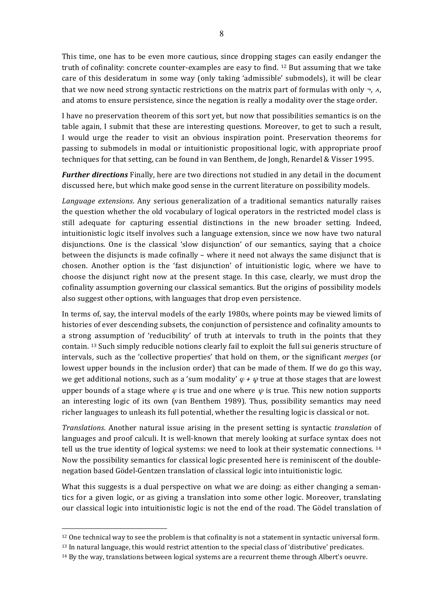This time, one has to be even more cautious, since dropping stages can easily endanger the truth of cofinality: concrete counter-examples are easy to find. <sup>12</sup> But assuming that we take care of this desideratum in some way (only taking 'admissible' submodels), it will be clear that we now need strong syntactic restrictions on the matrix part of formulas with only  $\neg$ ,  $\wedge$ , and atoms to ensure persistence, since the negation is really a modality over the stage order.

I have no preservation theorem of this sort yet, but now that possibilities semantics is on the table again, I submit that these are interesting questions. Moreover, to get to such a result, I would urge the reader to visit an obvious inspiration point. Preservation theorems for passing to submodels in modal or intuitionistic propositional logic, with appropriate proof techniques for that setting, can be found in van Benthem, de Jongh, Renardel & Visser 1995.

*Further directions* Finally, here are two directions not studied in any detail in the document discussed here, but which make good sense in the current literature on possibility models.

*Language extensions*. Any serious generalization of a traditional semantics naturally raises the question whether the old vocabulary of logical operators in the restricted model class is still adequate for capturing essential distinctions in the new broader setting. Indeed, intuitionistic logic itself involves such a language extension, since we now have two natural disjunctions. One is the classical 'slow disjunction' of our semantics, saying that a choice between the disjuncts is made cofinally – where it need not always the same disjunct that is chosen. Another option is the 'fast disjunction' of intuitionistic logic, where we have to choose the disjunct right now at the present stage. In this case, clearly, we must drop the cofinality assumption governing our classical semantics. But the origins of possibility models also suggest other options, with languages that drop even persistence.

In terms of, say, the interval models of the early 1980s, where points may be viewed limits of histories of ever descending subsets, the conjunction of persistence and cofinality amounts to a strong assumption of 'reducibility' of truth at intervals to truth in the points that they contain. <sup>13</sup> Such simply reducible notions clearly fail to exploit the full sui generis structure of intervals, such as the 'collective properties' that hold on them, or the significant *merges* (or lowest upper bounds in the inclusion order) that can be made of them. If we do go this way, we get additional notions, such as a 'sum modality'  $\varphi + \psi$  true at those stages that are lowest upper bounds of a stage where  $\varphi$  is true and one where  $\psi$  is true. This new notion supports an interesting logic of its own (van Benthem 1989). Thus, possibility semantics may need richer languages to unleash its full potential, whether the resulting logic is classical or not.

*Translations*. Another natural issue arising in the present setting is syntactic *translation* of languages and proof calculi. It is well-known that merely looking at surface syntax does not tell us the true identity of logical systems: we need to look at their systematic connections.  $14$ Now the possibility semantics for classical logic presented here is reminiscent of the doublenegation based Gödel-Gentzen translation of classical logic into intuitionistic logic.

What this suggests is a dual perspective on what we are doing: as either changing a semantics for a given logic, or as giving a translation into some other logic. Moreover, translating our classical logic into intuitionistic logic is not the end of the road. The Gödel translation of

 $\overline{a}$ 

 $12$  One technical way to see the problem is that cofinality is not a statement in syntactic universal form.

 $13$  In natural language, this would restrict attention to the special class of 'distributive' predicates.

 $14$  By the way, translations between logical systems are a recurrent theme through Albert's oeuvre.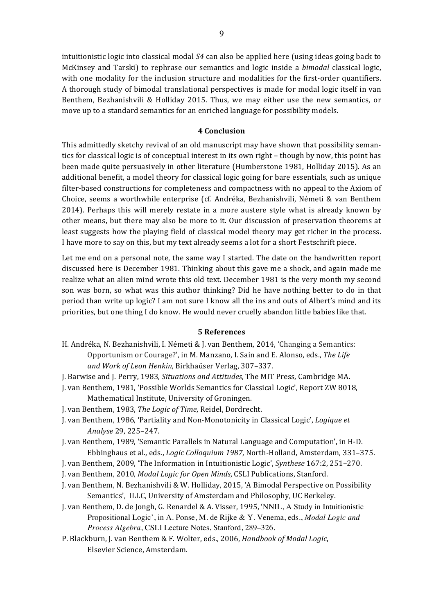intuitionistic logic into classical modal S4 can also be applied here (using ideas going back to McKinsey and Tarski) to rephrase our semantics and logic inside a *bimodal* classical logic, with one modality for the inclusion structure and modalities for the first-order quantifiers. A thorough study of bimodal translational perspectives is made for modal logic itself in van Benthem, Bezhanishvili & Holliday 2015. Thus, we may either use the new semantics, or move up to a standard semantics for an enriched language for possibility models.

### **4 Conclusion**

This admittedly sketchy revival of an old manuscript may have shown that possibility semantics for classical logic is of conceptual interest in its own right – though by now, this point has been made quite persuasively in other literature (Humberstone 1981, Holliday 2015). As an additional benefit, a model theory for classical logic going for bare essentials, such as unique filter-based constructions for completeness and compactness with no appeal to the Axiom of Choice, seems a worthwhile enterprise (cf. Andréka, Bezhanishvili, Németi & van Benthem 2014). Perhaps this will merely restate in a more austere style what is already known by other means, but there may also be more to it. Our discussion of preservation theorems at least suggests how the playing field of classical model theory may get richer in the process. I have more to say on this, but my text already seems a lot for a short Festschrift piece.

Let me end on a personal note, the same way I started. The date on the handwritten report discussed here is December 1981. Thinking about this gave me a shock, and again made me realize what an alien mind wrote this old text. December 1981 is the very month my second son was born, so what was this author thinking? Did he have nothing better to do in that period than write up logic? I am not sure I know all the ins and outs of Albert's mind and its priorities, but one thing I do know. He would never cruelly abandon little babies like that.

### **5 References**

- H. Andréka, N. Bezhanishvili, I. Németi & J. van Benthem, 2014, 'Changing a Semantics: Opportunism or Courage?', in M. Manzano, I. Sain and E. Alonso, eds., The Life and Work of Leon Henkin, Birkhaüser Verlag, 307-337.
- J. Barwise and J. Perry, 1983, *Situations and Attitudes*, The MIT Press, Cambridge MA.
- J. van Benthem, 1981, 'Possible Worlds Semantics for Classical Logic', Report ZW 8018, Mathematical Institute, University of Groningen.
- J. van Benthem, 1983, *The Logic of Time*, Reidel, Dordrecht.
- J. van Benthem, 1986, 'Partiality and Non-Monotonicity in Classical Logic', *Logique et Analyse* 29, 225–247.
- J. van Benthem, 1989, 'Semantic Parallels in Natural Language and Computation', in H-D. Ebbinghaus et al., eds., *Logic Colloquium 1987*, North-Holland, Amsterdam, 331-375.
- J. van Benthem, 2009, 'The Information in Intuitionistic Logic', *Synthese* 167:2, 251–270.
- J. van Benthem, 2010, *Modal Logic for Open Minds*, CSLI Publications, Stanford.
- J. van Benthem, N. Bezhanishvili & W. Holliday, 2015, 'A Bimodal Perspective on Possibility Semantics', ILLC, University of Amsterdam and Philosophy, UC Berkeley.
- J. van Benthem, D. de Jongh, G. Renardel & A. Visser, 1995, 'NNIL, A Study in Intuitionistic Propositional Logic', in A. Ponse, M. de Rijke & Y. Venema, eds., *Modal Logic and Process Algebra*, CSLI Lecture Notes, Stanford, 289–326.
- P. Blackburn, J. van Benthem & F. Wolter, eds., 2006, *Handbook of Modal Logic*, Elsevier Science, Amsterdam.